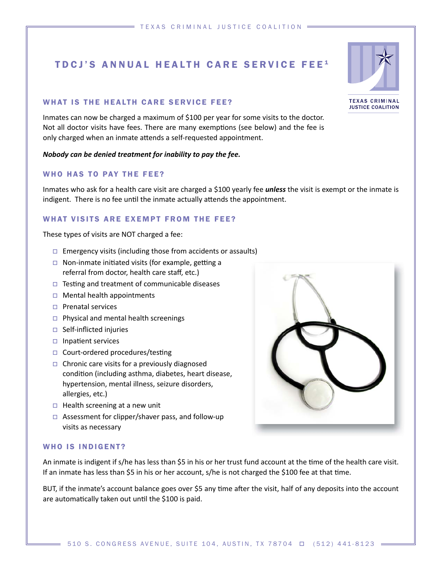# TDCJ'S ANNUAL HEALTH CARE SERVICE FEE<sup>1</sup>

## WHAT IS THE HEALTH CARE SERVICE FEE?

Inmates can now be charged a maximum of \$100 per year for some visits to the doctor. Not all doctor visits have fees. There are many exemptions (see below) and the fee is only charged when an inmate attends a self-requested appointment.

#### *Nobody can be denied treatment for inability to pay the fee.*

# WHO HAS TO PAY THE FEE?

Inmates who ask for a health care visit are charged a \$100 yearly fee *unless* the visit is exempt or the inmate is indigent. There is no fee until the inmate actually attends the appointment.

## WHAT VISITS ARE EXEMPT FROM THE FEE?

These types of visits are NOT charged a fee:

- $\Box$  Emergency visits (including those from accidents or assaults)
- $\Box$  Non-inmate initiated visits (for example, getting a referral from doctor, health care staff, etc.)
- $\Box$  Testing and treatment of communicable diseases
- $\Box$  Mental health appointments
- $\Box$  Prenatal services
- $\Box$  Physical and mental health screenings
- $\Box$  Self-inflicted injuries
- $\Box$  Inpatient services
- $\Box$  Court-ordered procedures/testing
- $\Box$  Chronic care visits for a previously diagnosed condition (including asthma, diabetes, heart disease, hypertension, mental illness, seizure disorders, allergies, etc.)
- $\Box$  Health screening at a new unit
- $\Box$  Assessment for clipper/shaver pass, and follow-up visits as necessary



#### WHO IS INDIGENT?

An inmate is indigent if s/he has less than \$5 in his or her trust fund account at the time of the health care visit. If an inmate has less than \$5 in his or her account, s/he is not charged the \$100 fee at that time.

BUT, if the inmate's account balance goes over \$5 any time after the visit, half of any deposits into the account are automatically taken out until the \$100 is paid.



**TEXAS CRIMINAL JUSTICE COALITION**